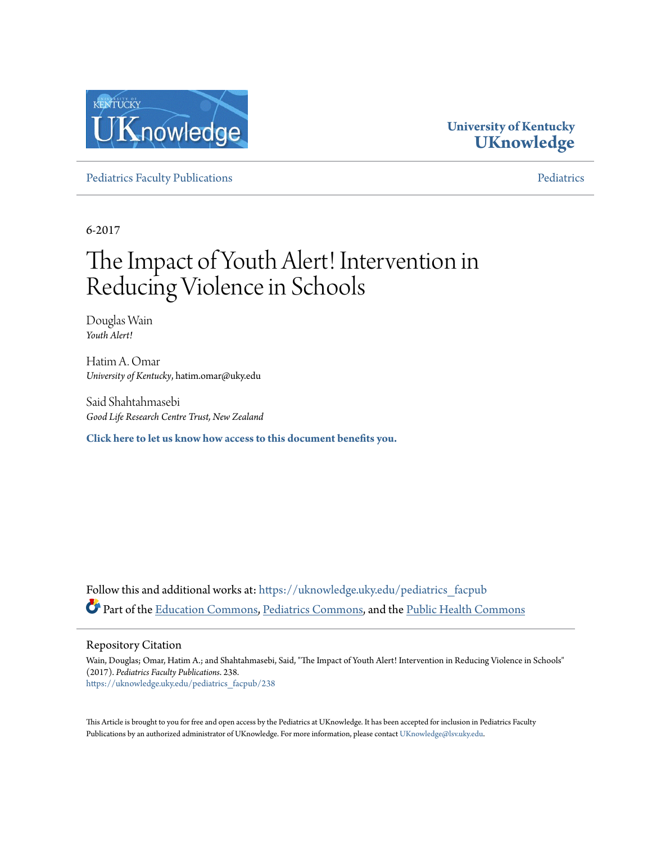

# **University of Kentucky [UKnowledge](https://uknowledge.uky.edu?utm_source=uknowledge.uky.edu%2Fpediatrics_facpub%2F238&utm_medium=PDF&utm_campaign=PDFCoverPages)**

[Pediatrics Faculty Publications](https://uknowledge.uky.edu/pediatrics_facpub?utm_source=uknowledge.uky.edu%2Fpediatrics_facpub%2F238&utm_medium=PDF&utm_campaign=PDFCoverPages) **[Pediatrics](https://uknowledge.uky.edu/pediatrics?utm_source=uknowledge.uky.edu%2Fpediatrics_facpub%2F238&utm_medium=PDF&utm_campaign=PDFCoverPages)** Pediatrics Pediatrics

6-2017

# The Impact of Youth Alert! Intervention in Reducing Violence in Schools

Douglas Wain *Youth Alert!*

Hatim A. Omar *University of Kentucky*, hatim.omar@uky.edu

Said Shahtahmasebi *Good Life Research Centre Trust, New Zealand*

**[Click here to let us know how access to this document benefits you.](https://uky.az1.qualtrics.com/jfe/form/SV_9mq8fx2GnONRfz7)**

Follow this and additional works at: [https://uknowledge.uky.edu/pediatrics\\_facpub](https://uknowledge.uky.edu/pediatrics_facpub?utm_source=uknowledge.uky.edu%2Fpediatrics_facpub%2F238&utm_medium=PDF&utm_campaign=PDFCoverPages) Part of the [Education Commons](http://network.bepress.com/hgg/discipline/784?utm_source=uknowledge.uky.edu%2Fpediatrics_facpub%2F238&utm_medium=PDF&utm_campaign=PDFCoverPages), [Pediatrics Commons](http://network.bepress.com/hgg/discipline/700?utm_source=uknowledge.uky.edu%2Fpediatrics_facpub%2F238&utm_medium=PDF&utm_campaign=PDFCoverPages), and the [Public Health Commons](http://network.bepress.com/hgg/discipline/738?utm_source=uknowledge.uky.edu%2Fpediatrics_facpub%2F238&utm_medium=PDF&utm_campaign=PDFCoverPages)

Repository Citation

Wain, Douglas; Omar, Hatim A.; and Shahtahmasebi, Said, "The Impact of Youth Alert! Intervention in Reducing Violence in Schools" (2017). *Pediatrics Faculty Publications*. 238. [https://uknowledge.uky.edu/pediatrics\\_facpub/238](https://uknowledge.uky.edu/pediatrics_facpub/238?utm_source=uknowledge.uky.edu%2Fpediatrics_facpub%2F238&utm_medium=PDF&utm_campaign=PDFCoverPages)

This Article is brought to you for free and open access by the Pediatrics at UKnowledge. It has been accepted for inclusion in Pediatrics Faculty Publications by an authorized administrator of UKnowledge. For more information, please contact [UKnowledge@lsv.uky.edu.](mailto:UKnowledge@lsv.uky.edu)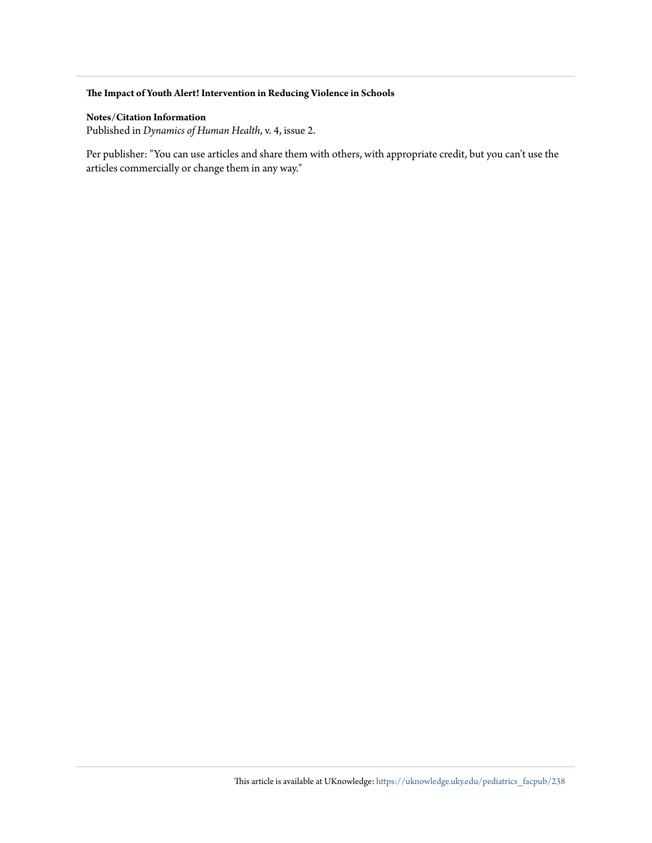#### **The Impact of Youth Alert! Intervention in Reducing Violence in Schools**

#### **Notes/Citation Information**

Published in *Dynamics of Human Health*, v. 4, issue 2.

Per publisher: "You can use articles and share them with others, with appropriate credit, but you can't use the articles commercially or change them in any way."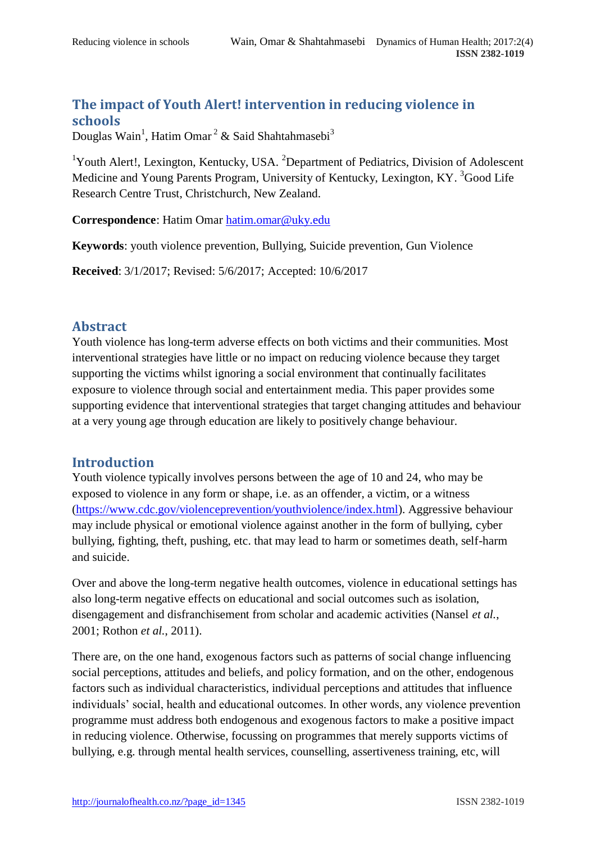## **The impact of Youth Alert! intervention in reducing violence in schools**

Douglas Wain<sup>1</sup>, Hatim Omar<sup>2</sup> & Said Shahtahmasebi<sup>3</sup>

<sup>1</sup>Youth Alert!, Lexington, Kentucky, USA.  ${}^{2}$ Department of Pediatrics, Division of Adolescent Medicine and Young Parents Program, University of Kentucky, Lexington, KY.<sup>3</sup>Good Life Research Centre Trust, Christchurch, New Zealand.

**Correspondence**: Hatim Omar [hatim.omar@uky.edu](mailto:hatim.omar@uky.edu)

**Keywords**: youth violence prevention, Bullying, Suicide prevention, Gun Violence

**Received**: 3/1/2017; Revised: 5/6/2017; Accepted: 10/6/2017

## **Abstract**

Youth violence has long-term adverse effects on both victims and their communities. Most interventional strategies have little or no impact on reducing violence because they target supporting the victims whilst ignoring a social environment that continually facilitates exposure to violence through social and entertainment media. This paper provides some supporting evidence that interventional strategies that target changing attitudes and behaviour at a very young age through education are likely to positively change behaviour.

## **Introduction**

Youth violence typically involves persons between the age of 10 and 24, who may be exposed to violence in any form or shape, i.e. as an offender, a victim, or a witness [\(https://www.cdc.gov/violenceprevention/youthviolence/index.html\)](https://www.cdc.gov/violenceprevention/youthviolence/index.html). Aggressive behaviour may include physical or emotional violence against another in the form of bullying, cyber bullying, fighting, theft, pushing, etc. that may lead to harm or sometimes death, self-harm and suicide.

Over and above the long-term negative health outcomes, violence in educational settings has also long-term negative effects on educational and social outcomes such as isolation, disengagement and disfranchisement from scholar and academic activities (Nansel *et al.*, 2001; Rothon *et al.*, 2011).

There are, on the one hand, exogenous factors such as patterns of social change influencing social perceptions, attitudes and beliefs, and policy formation, and on the other, endogenous factors such as individual characteristics, individual perceptions and attitudes that influence individuals' social, health and educational outcomes. In other words, any violence prevention programme must address both endogenous and exogenous factors to make a positive impact in reducing violence. Otherwise, focussing on programmes that merely supports victims of bullying, e.g. through mental health services, counselling, assertiveness training, etc, will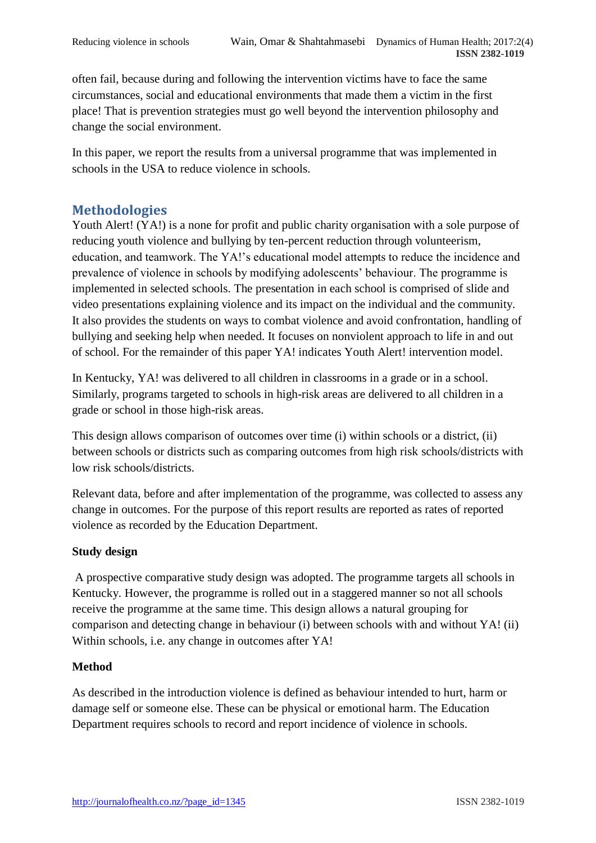often fail, because during and following the intervention victims have to face the same circumstances, social and educational environments that made them a victim in the first place! That is prevention strategies must go well beyond the intervention philosophy and change the social environment.

In this paper, we report the results from a universal programme that was implemented in schools in the USA to reduce violence in schools.

## **Methodologies**

Youth Alert! (YA!) is a none for profit and public charity organisation with a sole purpose of reducing youth violence and bullying by ten-percent reduction through volunteerism, education, and teamwork. The YA!'s educational model attempts to reduce the incidence and prevalence of violence in schools by modifying adolescents' behaviour. The programme is implemented in selected schools. The presentation in each school is comprised of slide and video presentations explaining violence and its impact on the individual and the community. It also provides the students on ways to combat violence and avoid confrontation, handling of bullying and seeking help when needed. It focuses on nonviolent approach to life in and out of school. For the remainder of this paper YA! indicates Youth Alert! intervention model.

In Kentucky, YA! was delivered to all children in classrooms in a grade or in a school. Similarly, programs targeted to schools in high-risk areas are delivered to all children in a grade or school in those high-risk areas.

This design allows comparison of outcomes over time (i) within schools or a district, (ii) between schools or districts such as comparing outcomes from high risk schools/districts with low risk schools/districts.

Relevant data, before and after implementation of the programme, was collected to assess any change in outcomes. For the purpose of this report results are reported as rates of reported violence as recorded by the Education Department.

#### **Study design**

A prospective comparative study design was adopted. The programme targets all schools in Kentucky. However, the programme is rolled out in a staggered manner so not all schools receive the programme at the same time. This design allows a natural grouping for comparison and detecting change in behaviour (i) between schools with and without YA! (ii) Within schools, i.e. any change in outcomes after YA!

#### **Method**

As described in the introduction violence is defined as behaviour intended to hurt, harm or damage self or someone else. These can be physical or emotional harm. The Education Department requires schools to record and report incidence of violence in schools.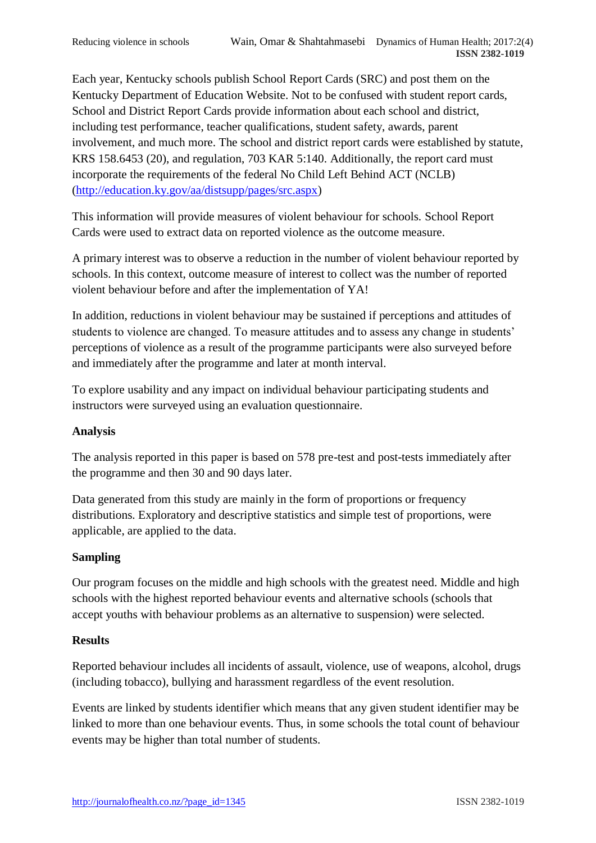Each year, Kentucky schools publish School Report Cards (SRC) and post them on the Kentucky Department of Education Website. Not to be confused with student report cards, School and District Report Cards provide information about each school and district, including test performance, teacher qualifications, student safety, awards, parent involvement, and much more. The school and district report cards were established by statute, KRS 158.6453 (20), and regulation, 703 KAR 5:140. Additionally, the report card must incorporate the requirements of the federal No Child Left Behind ACT (NCLB) [\(http://education.ky.gov/aa/distsupp/pages/src.aspx\)](http://education.ky.gov/aa/distsupp/pages/src.aspx)

This information will provide measures of violent behaviour for schools. School Report Cards were used to extract data on reported violence as the outcome measure.

A primary interest was to observe a reduction in the number of violent behaviour reported by schools. In this context, outcome measure of interest to collect was the number of reported violent behaviour before and after the implementation of YA!

In addition, reductions in violent behaviour may be sustained if perceptions and attitudes of students to violence are changed. To measure attitudes and to assess any change in students' perceptions of violence as a result of the programme participants were also surveyed before and immediately after the programme and later at month interval.

To explore usability and any impact on individual behaviour participating students and instructors were surveyed using an evaluation questionnaire.

#### **Analysis**

The analysis reported in this paper is based on 578 pre-test and post-tests immediately after the programme and then 30 and 90 days later.

Data generated from this study are mainly in the form of proportions or frequency distributions. Exploratory and descriptive statistics and simple test of proportions, were applicable, are applied to the data.

#### **Sampling**

Our program focuses on the middle and high schools with the greatest need. Middle and high schools with the highest reported behaviour events and alternative schools (schools that accept youths with behaviour problems as an alternative to suspension) were selected.

#### **Results**

Reported behaviour includes all incidents of assault, violence, use of weapons, alcohol, drugs (including tobacco), bullying and harassment regardless of the event resolution.

Events are linked by students identifier which means that any given student identifier may be linked to more than one behaviour events. Thus, in some schools the total count of behaviour events may be higher than total number of students.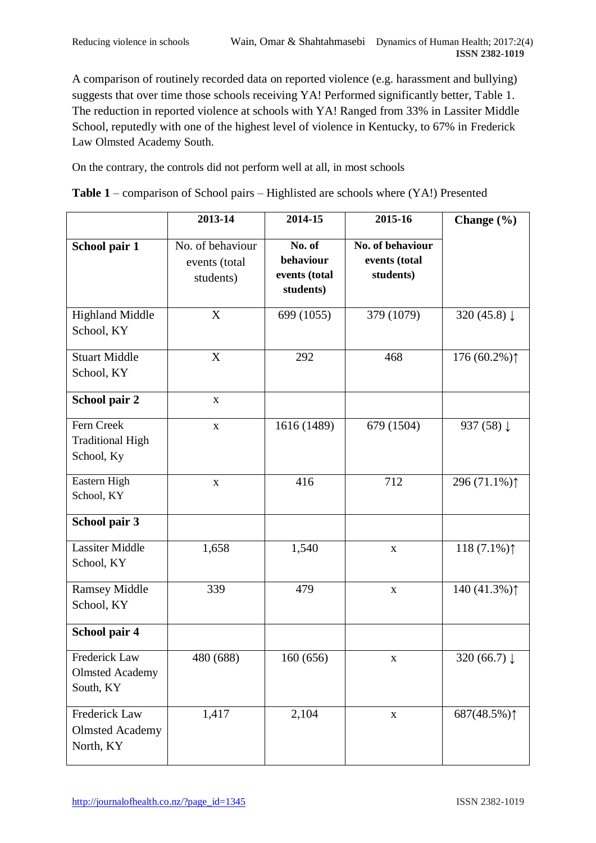A comparison of routinely recorded data on reported violence (e.g. harassment and bullying) suggests that over time those schools receiving YA! Performed significantly better, Table 1. The reduction in reported violence at schools with YA! Ranged from 33% in Lassiter Middle School, reputedly with one of the highest level of violence in Kentucky, to 67% in Frederick Law Olmsted Academy South.

On the contrary, the controls did not perform well at all, in most schools

|  |  | Table 1 – comparison of School pairs – Highlisted are schools where (YA!) Presented |  |
|--|--|-------------------------------------------------------------------------------------|--|
|  |  |                                                                                     |  |

|                                                      | 2013-14                                        | 2014-15                                           | 2015-16                                        | Change $(\% )$          |
|------------------------------------------------------|------------------------------------------------|---------------------------------------------------|------------------------------------------------|-------------------------|
| School pair 1                                        | No. of behaviour<br>events (total<br>students) | No. of<br>behaviour<br>events (total<br>students) | No. of behaviour<br>events (total<br>students) |                         |
| <b>Highland Middle</b><br>School, KY                 | X                                              | 699 (1055)                                        | 379 (1079)                                     | 320 (45.8) $\downarrow$ |
| <b>Stuart Middle</b><br>School, KY                   | X                                              | 292                                               | 468                                            | 176 $(60.2\%)$          |
| School pair 2                                        | $\mathbf X$                                    |                                                   |                                                |                         |
| Fern Creek<br><b>Traditional High</b><br>School, Ky  | $\mathbf X$                                    | 1616 (1489)                                       | 679 (1504)                                     | 937 (58) ↓              |
| Eastern High<br>School, KY                           | $\mathbf X$                                    | 416                                               | 712                                            | 296 (71.1%) $\uparrow$  |
| School pair 3                                        |                                                |                                                   |                                                |                         |
| <b>Lassiter Middle</b><br>School, KY                 | 1,658                                          | 1,540                                             | $\mathbf X$                                    | 118 $(7.1\%)$           |
| <b>Ramsey Middle</b><br>School, KY                   | 339                                            | 479                                               | $\mathbf X$                                    | 140 (41.3%) $\uparrow$  |
| School pair 4                                        |                                                |                                                   |                                                |                         |
| Frederick Law<br><b>Olmsted Academy</b><br>South, KY | 480 (688)                                      | 160 (656)                                         | X                                              | 320 $(66.7)$            |
| Frederick Law<br><b>Olmsted Academy</b><br>North, KY | 1,417                                          | 2,104                                             | $\mathbf X$                                    | 687(48.5%) $\uparrow$   |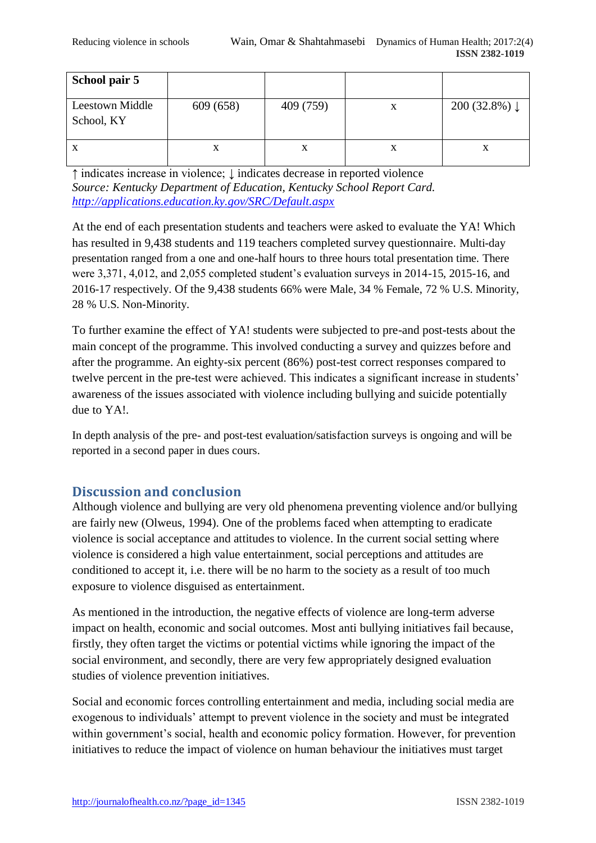| School pair 5                        |           |           |   |                          |
|--------------------------------------|-----------|-----------|---|--------------------------|
| <b>Leestown Middle</b><br>School, KY | 609 (658) | 409 (759) | X | 200 (32.8%) $\downarrow$ |
| $\mathbf X$                          | X         | X         | A | A                        |

↑ indicates increase in violence; ↓ indicates decrease in reported violence *Source: Kentucky Department of Education, Kentucky School Report Card. <http://applications.education.ky.gov/SRC/Default.aspx>*

At the end of each presentation students and teachers were asked to evaluate the YA! Which has resulted in 9,438 students and 119 teachers completed survey questionnaire. Multi-day presentation ranged from a one and one-half hours to three hours total presentation time. There were 3,371, 4,012, and 2,055 completed student's evaluation surveys in 2014-15, 2015-16, and 2016-17 respectively. Of the 9,438 students 66% were Male, 34 % Female, 72 % U.S. Minority, 28 % U.S. Non-Minority.

To further examine the effect of YA! students were subjected to pre-and post-tests about the main concept of the programme. This involved conducting a survey and quizzes before and after the programme. An eighty-six percent (86%) post-test correct responses compared to twelve percent in the pre-test were achieved. This indicates a significant increase in students' awareness of the issues associated with violence including bullying and suicide potentially due to YA!.

In depth analysis of the pre- and post-test evaluation/satisfaction surveys is ongoing and will be reported in a second paper in dues cours.

## **Discussion and conclusion**

Although violence and bullying are very old phenomena preventing violence and/or bullying are fairly new (Olweus, 1994). One of the problems faced when attempting to eradicate violence is social acceptance and attitudes to violence. In the current social setting where violence is considered a high value entertainment, social perceptions and attitudes are conditioned to accept it, i.e. there will be no harm to the society as a result of too much exposure to violence disguised as entertainment.

As mentioned in the introduction, the negative effects of violence are long-term adverse impact on health, economic and social outcomes. Most anti bullying initiatives fail because, firstly, they often target the victims or potential victims while ignoring the impact of the social environment, and secondly, there are very few appropriately designed evaluation studies of violence prevention initiatives.

Social and economic forces controlling entertainment and media, including social media are exogenous to individuals' attempt to prevent violence in the society and must be integrated within government's social, health and economic policy formation. However, for prevention initiatives to reduce the impact of violence on human behaviour the initiatives must target